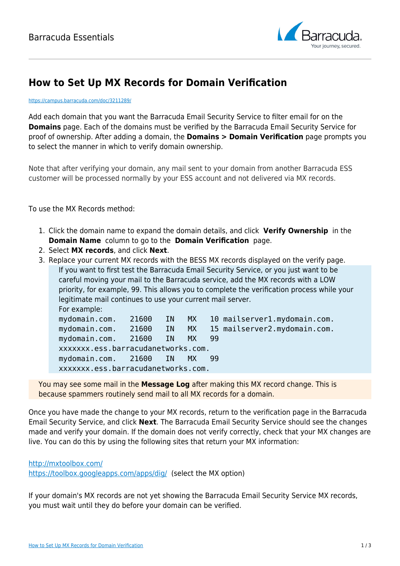

## **How to Set Up MX Records for Domain Verification**

## <https://campus.barracuda.com/doc/3211289/>

Add each domain that you want the Barracuda Email Security Service to filter email for on the **Domains** page. Each of the domains must be verified by the Barracuda Email Security Service for proof of ownership. After adding a domain, the **Domains > Domain Verification** page prompts you to select the manner in which to verify domain ownership.

Note that after verifying your domain, any mail sent to your domain from another Barracuda ESS customer will be processed normally by your ESS account and not delivered via MX records.

To use the MX Records method:

- 1. Click the domain name to expand the domain details, and click **Verify Ownership** in the **Domain Name** column to go to the **Domain Verification** page.
- 2. Select **MX records**, and click **Next**.
- 3. Replace your current MX records with the BESS MX records displayed on the verify page. If you want to first test the Barracuda Email Security Service, or you just want to be careful moving your mail to the Barracuda service, add the MX records with a LOW priority, for example, 99. This allows you to complete the verification process while your legitimate mail continues to use your current mail server. For example: mydomain.com. 21600 IN MX 10 mailserver1.mydomain.com. mydomain.com. 21600 IN MX 15 mailserver2.mydomain.com. mydomain.com. 21600 IN MX 99 xxxxxxx.ess.barracudanetworks.com. mydomain.com. 21600 IN MX 99 xxxxxxx.ess.barracudanetworks.com.

You may see some mail in the **Message Log** after making this MX record change. This is because spammers routinely send mail to all MX records for a domain.

Once you have made the change to your MX records, return to the verification page in the Barracuda Email Security Service, and click **Next**. The Barracuda Email Security Service should see the changes made and verify your domain. If the domain does not verify correctly, check that your MX changes are live. You can do this by using the following sites that return your MX information:

## <http://mxtoolbox.com/>

<https://toolbox.googleapps.com/apps/dig/>(select the MX option)

If your domain's MX records are not yet showing the Barracuda Email Security Service MX records, you must wait until they do before your domain can be verified.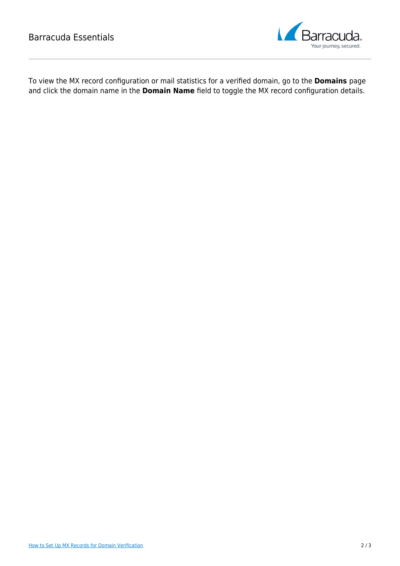

To view the MX record configuration or mail statistics for a verified domain, go to the **Domains** page and click the domain name in the **Domain Name** field to toggle the MX record configuration details.